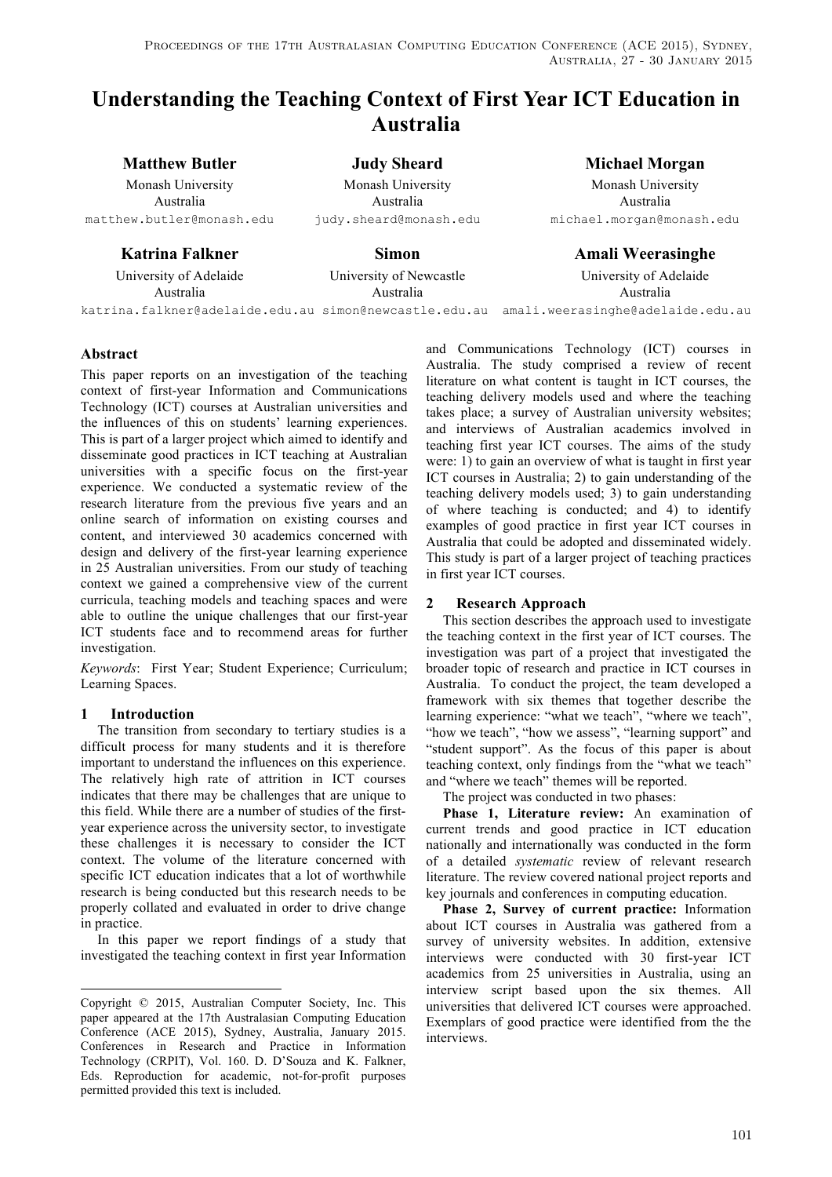# **Understanding the Teaching Context of First Year ICT Education in Australia**

Monash University Monash University Monash University Australia Australia Australia

**Matthew Butler Judy Sheard Michael Morgan**

matthew.butler@monash.edu judy.sheard@monash.edu michael.morgan@monash.edu

# **Katrina Falkner Simon Amali Weerasinghe**

Australia Australia Australia

University of Adelaide University of Newcastle University of Adelaide

katrina.falkner@adelaide.edu.au simon@newcastle.edu.au amali.weerasinghe@adelaide.edu.au

# **Abstract**

This paper reports on an investigation of the teaching context of first-year Information and Communications Technology (ICT) courses at Australian universities and the influences of this on students' learning experiences. This is part of a larger project which aimed to identify and disseminate good practices in ICT teaching at Australian universities with a specific focus on the first-year experience. We conducted a systematic review of the research literature from the previous five years and an online search of information on existing courses and content, and interviewed 30 academics concerned with design and delivery of the first-year learning experience in 25 Australian universities. From our study of teaching context we gained a comprehensive view of the current curricula, teaching models and teaching spaces and were able to outline the unique challenges that our first-year ICT students face and to recommend areas for further investigation..

*Keywords*: First Year; Student Experience; Curriculum; Learning Spaces.

# **1 Introduction**

1

The transition from secondary to tertiary studies is a difficult process for many students and it is therefore important to understand the influences on this experience. The relatively high rate of attrition in ICT courses indicates that there may be challenges that are unique to this field. While there are a number of studies of the firstyear experience across the university sector, to investigate these challenges it is necessary to consider the ICT context. The volume of the literature concerned with specific ICT education indicates that a lot of worthwhile research is being conducted but this research needs to be properly collated and evaluated in order to drive change in practice.

In this paper we report findings of a study that investigated the teaching context in first year Information and Communications Technology (ICT) courses in Australia. The study comprised a review of recent literature on what content is taught in ICT courses, the teaching delivery models used and where the teaching takes place; a survey of Australian university websites; and interviews of Australian academics involved in teaching first year ICT courses. The aims of the study were: 1) to gain an overview of what is taught in first year ICT courses in Australia; 2) to gain understanding of the teaching delivery models used; 3) to gain understanding of where teaching is conducted; and 4) to identify examples of good practice in first year ICT courses in Australia that could be adopted and disseminated widely. This study is part of a larger project of teaching practices in first year ICT courses.

# **2 Research Approach**

This section describes the approach used to investigate the teaching context in the first year of ICT courses. The investigation was part of a project that investigated the broader topic of research and practice in ICT courses in Australia. To conduct the project, the team developed a framework with six themes that together describe the learning experience: "what we teach", "where we teach", "how we teach", "how we assess", "learning support" and "student support". As the focus of this paper is about teaching context, only findings from the "what we teach" and "where we teach" themes will be reported.

The project was conducted in two phases:

**Phase 1, Literature review:** An examination of current trends and good practice in ICT education nationally and internationally was conducted in the form of a detailed *systematic* review of relevant research literature. The review covered national project reports and key journals and conferences in computing education.

**Phase 2, Survey of current practice:** Information about ICT courses in Australia was gathered from a survey of university websites. In addition, extensive interviews were conducted with 30 first-year ICT academics from 25 universities in Australia, using an interview script based upon the six themes. All universities that delivered ICT courses were approached. Exemplars of good practice were identified from the the interviews.

Copyright © 2015, Australian Computer Society, Inc. This paper appeared at the 17th Australasian Computing Education Conference (ACE 2015), Sydney, Australia, January 2015. Conferences in Research and Practice in Information Technology (CRPIT), Vol. 160. D. D'Souza and K. Falkner, Eds. Reproduction for academic, not-for-profit purposes permitted provided this text is included.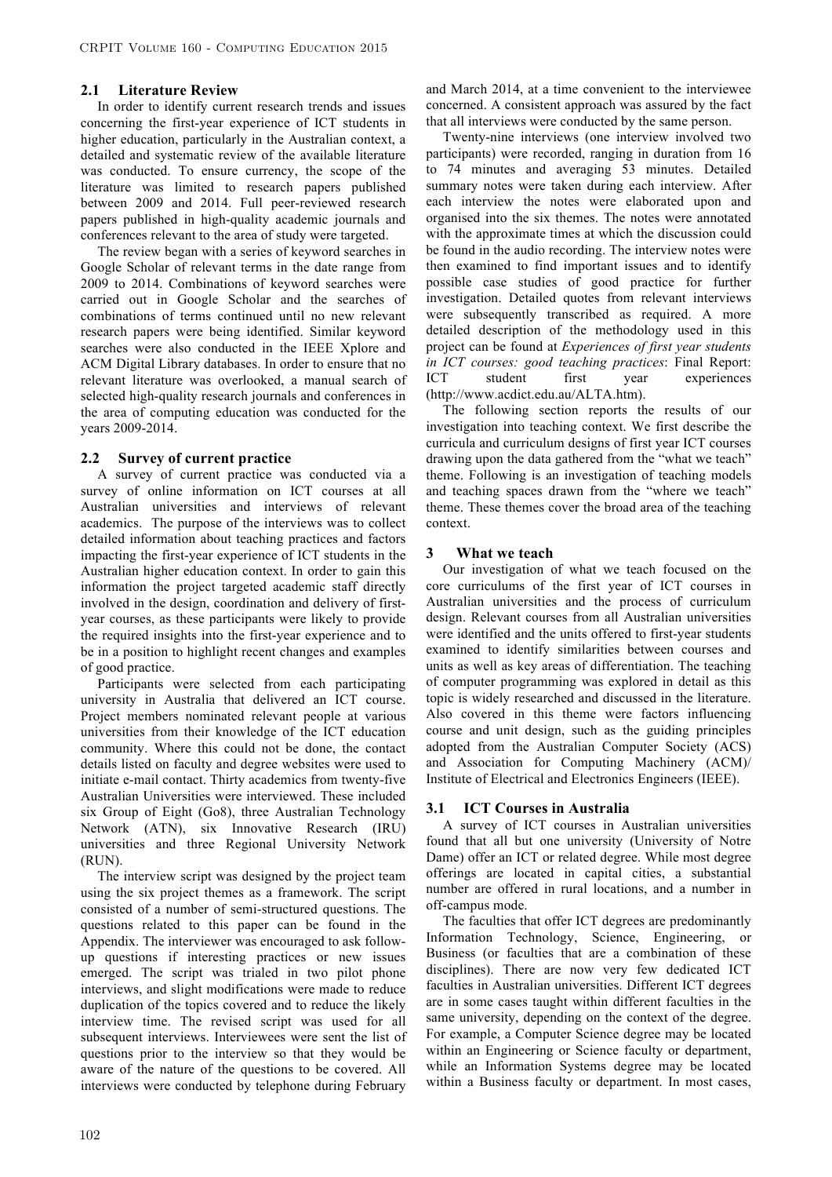#### **2.1 Literature Review**

In order to identify current research trends and issues concerning the first-year experience of ICT students in higher education, particularly in the Australian context, a detailed and systematic review of the available literature was conducted. To ensure currency, the scope of the literature was limited to research papers published between 2009 and 2014. Full peer-reviewed research papers published in high-quality academic journals and conferences relevant to the area of study were targeted.

The review began with a series of keyword searches in Google Scholar of relevant terms in the date range from 2009 to 2014. Combinations of keyword searches were carried out in Google Scholar and the searches of combinations of terms continued until no new relevant research papers were being identified. Similar keyword searches were also conducted in the IEEE Xplore and ACM Digital Library databases. In order to ensure that no relevant literature was overlooked, a manual search of selected high-quality research journals and conferences in the area of computing education was conducted for the years 2009-2014.

#### **2.2 Survey of current practice**

A survey of current practice was conducted via a survey of online information on ICT courses at all Australian universities and interviews of relevant academics. The purpose of the interviews was to collect detailed information about teaching practices and factors impacting the first-year experience of ICT students in the Australian higher education context. In order to gain this information the project targeted academic staff directly involved in the design, coordination and delivery of firstyear courses, as these participants were likely to provide the required insights into the first-year experience and to be in a position to highlight recent changes and examples of good practice.

Participants were selected from each participating university in Australia that delivered an ICT course. Project members nominated relevant people at various universities from their knowledge of the ICT education community. Where this could not be done, the contact details listed on faculty and degree websites were used to initiate e-mail contact. Thirty academics from twenty-five Australian Universities were interviewed. These included six Group of Eight (Go8), three Australian Technology Network (ATN), six Innovative Research (IRU) universities and three Regional University Network (RUN).

The interview script was designed by the project team using the six project themes as a framework. The script consisted of a number of semi-structured questions. The questions related to this paper can be found in the Appendix. The interviewer was encouraged to ask followup questions if interesting practices or new issues emerged. The script was trialed in two pilot phone interviews, and slight modifications were made to reduce duplication of the topics covered and to reduce the likely interview time. The revised script was used for all subsequent interviews. Interviewees were sent the list of questions prior to the interview so that they would be aware of the nature of the questions to be covered. All interviews were conducted by telephone during February

and March 2014, at a time convenient to the interviewee concerned. A consistent approach was assured by the fact that all interviews were conducted by the same person.

Twenty-nine interviews (one interview involved two participants) were recorded, ranging in duration from 16 to 74 minutes and averaging 53 minutes. Detailed summary notes were taken during each interview. After each interview the notes were elaborated upon and organised into the six themes. The notes were annotated with the approximate times at which the discussion could be found in the audio recording. The interview notes were then examined to find important issues and to identify possible case studies of good practice for further investigation. Detailed quotes from relevant interviews were subsequently transcribed as required. A more detailed description of the methodology used in this project can be found at *Experiences of first year students in ICT courses: good teaching practices*: Final Report: ICT student first year experiences (http://www.acdict.edu.au/ALTA.htm).

The following section reports the results of our investigation into teaching context. We first describe the curricula and curriculum designs of first year ICT courses drawing upon the data gathered from the "what we teach" theme. Following is an investigation of teaching models and teaching spaces drawn from the "where we teach" theme. These themes cover the broad area of the teaching context.

#### **3 What we teach**

Our investigation of what we teach focused on the core curriculums of the first year of ICT courses in Australian universities and the process of curriculum design. Relevant courses from all Australian universities were identified and the units offered to first-year students examined to identify similarities between courses and units as well as key areas of differentiation. The teaching of computer programming was explored in detail as this topic is widely researched and discussed in the literature. Also covered in this theme were factors influencing course and unit design, such as the guiding principles adopted from the Australian Computer Society (ACS) and Association for Computing Machinery (ACM)/ Institute of Electrical and Electronics Engineers (IEEE).

### **3.1 ICT Courses in Australia**

A survey of ICT courses in Australian universities found that all but one university (University of Notre Dame) offer an ICT or related degree. While most degree offerings are located in capital cities, a substantial number are offered in rural locations, and a number in off-campus mode.

The faculties that offer ICT degrees are predominantly Information Technology, Science, Engineering, or Business (or faculties that are a combination of these disciplines). There are now very few dedicated ICT faculties in Australian universities. Different ICT degrees are in some cases taught within different faculties in the same university, depending on the context of the degree. For example, a Computer Science degree may be located within an Engineering or Science faculty or department, while an Information Systems degree may be located within a Business faculty or department. In most cases,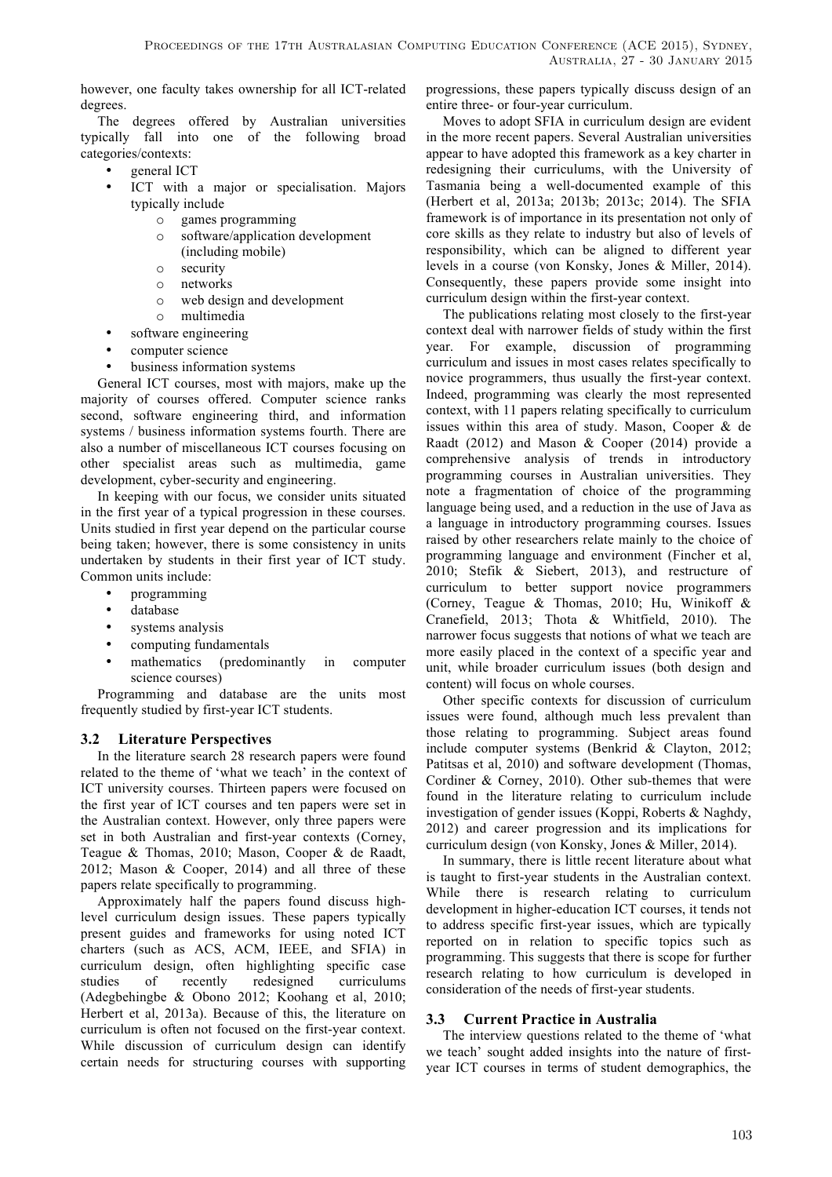however, one faculty takes ownership for all ICT-related degrees.

The degrees offered by Australian universities typically fall into one of the following broad categories/contexts:

- general ICT
- ICT with a major or specialisation. Majors typically include
	- o games programming
	- o software/application development (including mobile)
	- o security
	- o networks
	- o web design and development
- o multimedia • software engineering
- computer science
- business information systems

General ICT courses, most with majors, make up the majority of courses offered. Computer science ranks second, software engineering third, and information systems / business information systems fourth. There are also a number of miscellaneous ICT courses focusing on other specialist areas such as multimedia, game development, cyber-security and engineering.

In keeping with our focus, we consider units situated in the first year of a typical progression in these courses. Units studied in first year depend on the particular course being taken; however, there is some consistency in units undertaken by students in their first year of ICT study. Common units include:

- programming
- database
- systems analysis
- computing fundamentals
- mathematics (predominantly in computer science courses)

Programming and database are the units most frequently studied by first-year ICT students.

# **3.2 Literature Perspectives**

In the literature search 28 research papers were found related to the theme of 'what we teach' in the context of ICT university courses. Thirteen papers were focused on the first year of ICT courses and ten papers were set in the Australian context. However, only three papers were set in both Australian and first-year contexts (Corney, Teague & Thomas, 2010; Mason, Cooper & de Raadt, 2012; Mason & Cooper, 2014) and all three of these papers relate specifically to programming.

Approximately half the papers found discuss highlevel curriculum design issues. These papers typically present guides and frameworks for using noted ICT charters (such as ACS, ACM, IEEE, and SFIA) in curriculum design, often highlighting specific case studies of recently redesigned curriculums (Adegbehingbe & Obono 2012; Koohang et al, 2010; Herbert et al, 2013a). Because of this, the literature on curriculum is often not focused on the first-year context. While discussion of curriculum design can identify certain needs for structuring courses with supporting progressions, these papers typically discuss design of an entire three- or four-year curriculum.

Moves to adopt SFIA in curriculum design are evident in the more recent papers. Several Australian universities appear to have adopted this framework as a key charter in redesigning their curriculums, with the University of Tasmania being a well-documented example of this (Herbert et al, 2013a; 2013b; 2013c; 2014). The SFIA framework is of importance in its presentation not only of core skills as they relate to industry but also of levels of responsibility, which can be aligned to different year levels in a course (von Konsky, Jones & Miller, 2014). Consequently, these papers provide some insight into curriculum design within the first-year context.

The publications relating most closely to the first-year context deal with narrower fields of study within the first year. For example, discussion of programming curriculum and issues in most cases relates specifically to novice programmers, thus usually the first-year context. Indeed, programming was clearly the most represented context, with 11 papers relating specifically to curriculum issues within this area of study. Mason, Cooper & de Raadt (2012) and Mason & Cooper (2014) provide a comprehensive analysis of trends in introductory programming courses in Australian universities. They note a fragmentation of choice of the programming language being used, and a reduction in the use of Java as a language in introductory programming courses. Issues raised by other researchers relate mainly to the choice of programming language and environment (Fincher et al, 2010; Stefik & Siebert, 2013), and restructure of curriculum to better support novice programmers (Corney, Teague & Thomas, 2010; Hu, Winikoff & Cranefield, 2013; Thota & Whitfield, 2010). The narrower focus suggests that notions of what we teach are more easily placed in the context of a specific year and unit, while broader curriculum issues (both design and content) will focus on whole courses.

Other specific contexts for discussion of curriculum issues were found, although much less prevalent than those relating to programming. Subject areas found include computer systems (Benkrid & Clayton, 2012; Patitsas et al, 2010) and software development (Thomas, Cordiner & Corney, 2010). Other sub-themes that were found in the literature relating to curriculum include investigation of gender issues (Koppi, Roberts & Naghdy, 2012) and career progression and its implications for curriculum design (von Konsky, Jones & Miller, 2014).

In summary, there is little recent literature about what is taught to first-year students in the Australian context. While there is research relating to curriculum development in higher-education ICT courses, it tends not to address specific first-year issues, which are typically reported on in relation to specific topics such as programming. This suggests that there is scope for further research relating to how curriculum is developed in consideration of the needs of first-year students.

# **3.3 Current Practice in Australia**

The interview questions related to the theme of 'what we teach' sought added insights into the nature of firstyear ICT courses in terms of student demographics, the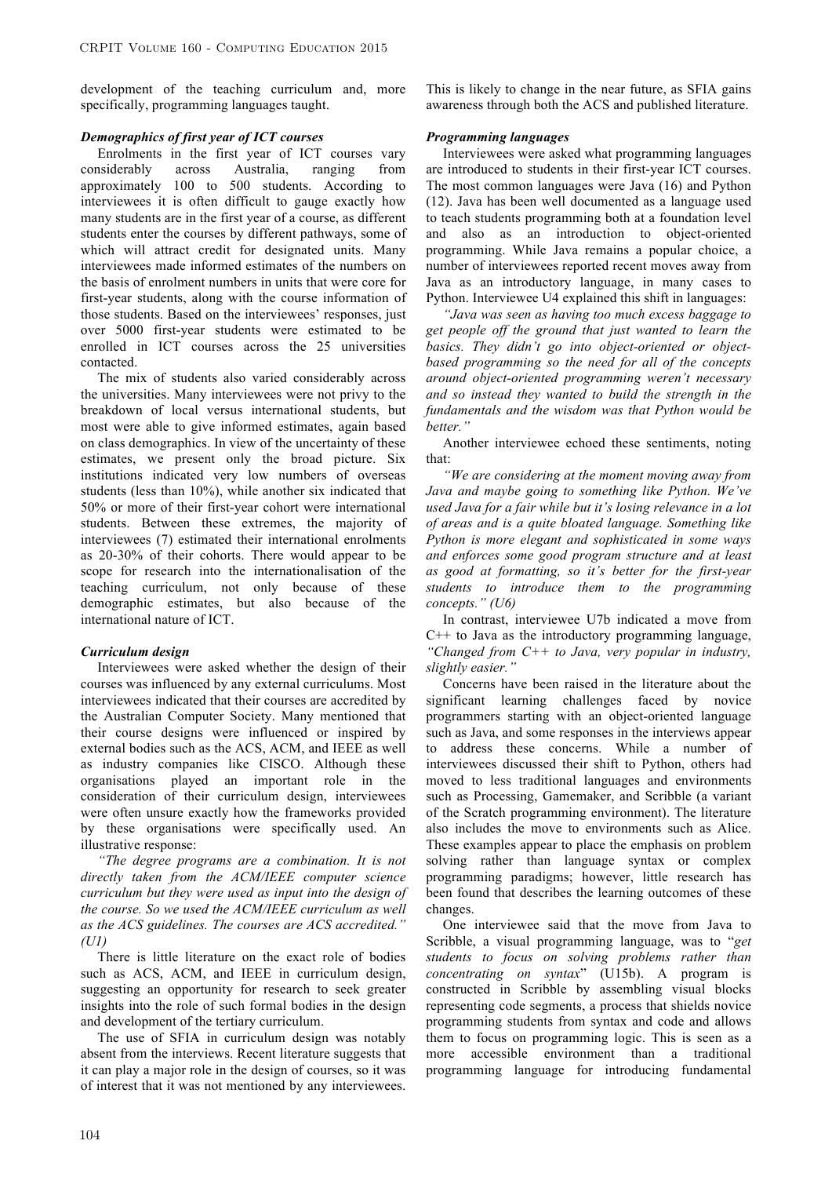development of the teaching curriculum and, more specifically, programming languages taught.

#### *Demographics of first year of ICT courses*

Enrolments in the first year of ICT courses vary considerably across Australia, ranging from approximately 100 to 500 students. According to interviewees it is often difficult to gauge exactly how many students are in the first year of a course, as different students enter the courses by different pathways, some of which will attract credit for designated units. Many interviewees made informed estimates of the numbers on the basis of enrolment numbers in units that were core for first-year students, along with the course information of those students. Based on the interviewees' responses, just over 5000 first-year students were estimated to be enrolled in ICT courses across the 25 universities contacted.

The mix of students also varied considerably across the universities. Many interviewees were not privy to the breakdown of local versus international students, but most were able to give informed estimates, again based on class demographics. In view of the uncertainty of these estimates, we present only the broad picture. Six institutions indicated very low numbers of overseas students (less than 10%), while another six indicated that 50% or more of their first-year cohort were international students. Between these extremes, the majority of interviewees (7) estimated their international enrolments as 20-30% of their cohorts. There would appear to be scope for research into the internationalisation of the teaching curriculum, not only because of these demographic estimates, but also because of the international nature of ICT.

#### *Curriculum design*

Interviewees were asked whether the design of their courses was influenced by any external curriculums. Most interviewees indicated that their courses are accredited by the Australian Computer Society. Many mentioned that their course designs were influenced or inspired by external bodies such as the ACS, ACM, and IEEE as well as industry companies like CISCO. Although these organisations played an important role in the consideration of their curriculum design, interviewees were often unsure exactly how the frameworks provided by these organisations were specifically used. An illustrative response:

*"The degree programs are a combination. It is not directly taken from the ACM/IEEE computer science curriculum but they were used as input into the design of the course. So we used the ACM/IEEE curriculum as well as the ACS guidelines. The courses are ACS accredited." (U1)*

There is little literature on the exact role of bodies such as ACS, ACM, and IEEE in curriculum design, suggesting an opportunity for research to seek greater insights into the role of such formal bodies in the design and development of the tertiary curriculum.

The use of SFIA in curriculum design was notably absent from the interviews. Recent literature suggests that it can play a major role in the design of courses, so it was of interest that it was not mentioned by any interviewees. This is likely to change in the near future, as SFIA gains awareness through both the ACS and published literature.

#### *Programming languages*

Interviewees were asked what programming languages are introduced to students in their first-year ICT courses. The most common languages were Java (16) and Python (12). Java has been well documented as a language used to teach students programming both at a foundation level and also as an introduction to object-oriented programming. While Java remains a popular choice, a number of interviewees reported recent moves away from Java as an introductory language, in many cases to Python. Interviewee U4 explained this shift in languages:

*"Java was seen as having too much excess baggage to get people off the ground that just wanted to learn the basics. They didn't go into object-oriented or objectbased programming so the need for all of the concepts around object-oriented programming weren't necessary and so instead they wanted to build the strength in the fundamentals and the wisdom was that Python would be better."*

Another interviewee echoed these sentiments, noting that:

*"We are considering at the moment moving away from Java and maybe going to something like Python. We've used Java for a fair while but it's losing relevance in a lot of areas and is a quite bloated language. Something like Python is more elegant and sophisticated in some ways and enforces some good program structure and at least as good at formatting, so it's better for the first-year students to introduce them to the programming concepts." (U6)*

In contrast, interviewee U7b indicated a move from  $C++$  to Java as the introductory programming language, *"Changed from C++ to Java, very popular in industry, slightly easier."* 

Concerns have been raised in the literature about the significant learning challenges faced by novice programmers starting with an object-oriented language such as Java, and some responses in the interviews appear to address these concerns. While a number of interviewees discussed their shift to Python, others had moved to less traditional languages and environments such as Processing, Gamemaker, and Scribble (a variant of the Scratch programming environment). The literature also includes the move to environments such as Alice. These examples appear to place the emphasis on problem solving rather than language syntax or complex programming paradigms; however, little research has been found that describes the learning outcomes of these changes.

One interviewee said that the move from Java to Scribble, a visual programming language, was to "*get students to focus on solving problems rather than concentrating on syntax*" (U15b). A program is constructed in Scribble by assembling visual blocks representing code segments, a process that shields novice programming students from syntax and code and allows them to focus on programming logic. This is seen as a more accessible environment than a traditional programming language for introducing fundamental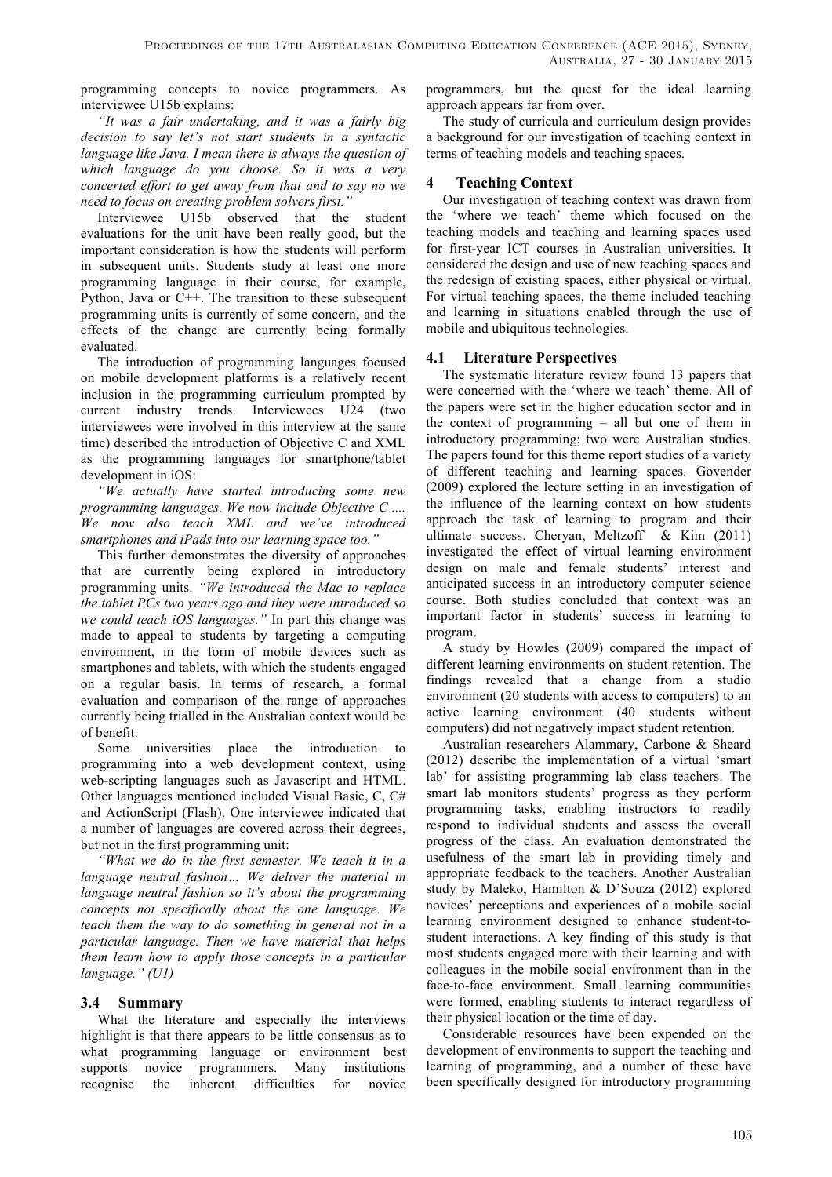programming concepts to novice programmers. As interviewee U15b explains:

*"It was a fair undertaking, and it was a fairly big decision to say let's not start students in a syntactic language like Java. I mean there is always the question of which language do you choose. So it was a very concerted effort to get away from that and to say no we need to focus on creating problem solvers first."* 

Interviewee U15b observed that the student evaluations for the unit have been really good, but the important consideration is how the students will perform in subsequent units. Students study at least one more programming language in their course, for example, Python, Java or C++. The transition to these subsequent programming units is currently of some concern, and the effects of the change are currently being formally evaluated.

The introduction of programming languages focused on mobile development platforms is a relatively recent inclusion in the programming curriculum prompted by current industry trends. Interviewees U24 (two interviewees were involved in this interview at the same time) described the introduction of Objective C and XML as the programming languages for smartphone/tablet development in iOS:

*"We actually have started introducing some new programming languages. We now include Objective C .... We now also teach XML and we've introduced smartphones and iPads into our learning space too."* 

This further demonstrates the diversity of approaches that are currently being explored in introductory programming units. *"We introduced the Mac to replace the tablet PCs two years ago and they were introduced so we could teach iOS languages."* In part this change was made to appeal to students by targeting a computing environment, in the form of mobile devices such as smartphones and tablets, with which the students engaged on a regular basis. In terms of research, a formal evaluation and comparison of the range of approaches currently being trialled in the Australian context would be of benefit.

Some universities place the introduction to programming into a web development context, using web-scripting languages such as Javascript and HTML. Other languages mentioned included Visual Basic, C, C# and ActionScript (Flash). One interviewee indicated that a number of languages are covered across their degrees, but not in the first programming unit:

*"What we do in the first semester. We teach it in a language neutral fashion… We deliver the material in language neutral fashion so it's about the programming concepts not specifically about the one language. We teach them the way to do something in general not in a particular language. Then we have material that helps them learn how to apply those concepts in a particular language." (U1)*

# **3.4 Summary**

What the literature and especially the interviews highlight is that there appears to be little consensus as to what programming language or environment best supports novice programmers. Many institutions recognise the inherent difficulties for novice programmers, but the quest for the ideal learning approach appears far from over.

The study of curricula and curriculum design provides a background for our investigation of teaching context in terms of teaching models and teaching spaces.

# **4 Teaching Context**

Our investigation of teaching context was drawn from the 'where we teach' theme which focused on the teaching models and teaching and learning spaces used for first-year ICT courses in Australian universities. It considered the design and use of new teaching spaces and the redesign of existing spaces, either physical or virtual. For virtual teaching spaces, the theme included teaching and learning in situations enabled through the use of mobile and ubiquitous technologies.

# **4.1 Literature Perspectives**

The systematic literature review found 13 papers that were concerned with the 'where we teach' theme. All of the papers were set in the higher education sector and in the context of programming – all but one of them in introductory programming; two were Australian studies. The papers found for this theme report studies of a variety of different teaching and learning spaces. Govender (2009) explored the lecture setting in an investigation of the influence of the learning context on how students approach the task of learning to program and their ultimate success. Cheryan, Meltzoff & Kim (2011) investigated the effect of virtual learning environment design on male and female students' interest and anticipated success in an introductory computer science course. Both studies concluded that context was an important factor in students' success in learning to program.

A study by Howles (2009) compared the impact of different learning environments on student retention. The findings revealed that a change from a studio environment (20 students with access to computers) to an active learning environment (40 students without computers) did not negatively impact student retention.

Australian researchers Alammary, Carbone & Sheard (2012) describe the implementation of a virtual 'smart lab' for assisting programming lab class teachers. The smart lab monitors students' progress as they perform programming tasks, enabling instructors to readily respond to individual students and assess the overall progress of the class. An evaluation demonstrated the usefulness of the smart lab in providing timely and appropriate feedback to the teachers. Another Australian study by Maleko, Hamilton & D'Souza (2012) explored novices' perceptions and experiences of a mobile social learning environment designed to enhance student-tostudent interactions. A key finding of this study is that most students engaged more with their learning and with colleagues in the mobile social environment than in the face-to-face environment. Small learning communities were formed, enabling students to interact regardless of their physical location or the time of day.

Considerable resources have been expended on the development of environments to support the teaching and learning of programming, and a number of these have been specifically designed for introductory programming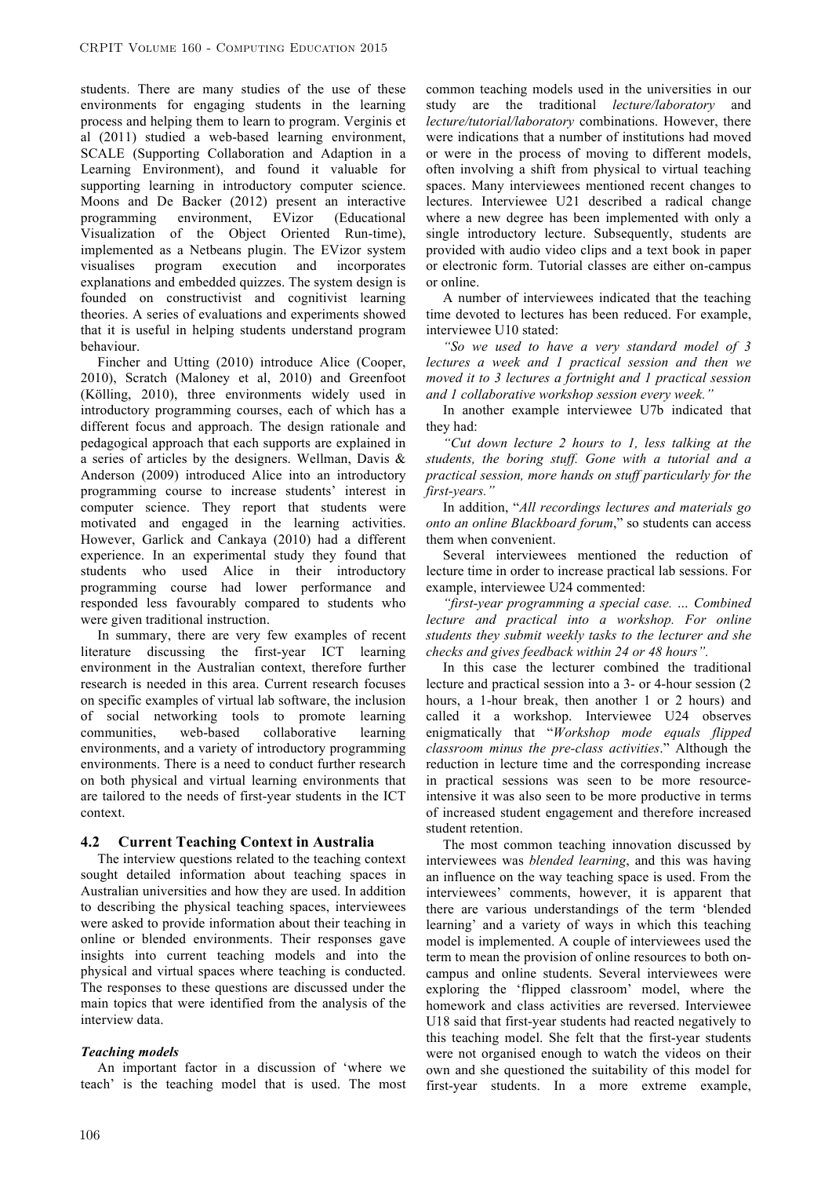students. There are many studies of the use of these environments for engaging students in the learning process and helping them to learn to program. Verginis et al (2011) studied a web-based learning environment, SCALE (Supporting Collaboration and Adaption in a Learning Environment), and found it valuable for supporting learning in introductory computer science. Moons and De Backer (2012) present an interactive programming environment, EVizor (Educational Visualization of the Object Oriented Run-time), implemented as a Netbeans plugin. The EVizor system visualises program execution and incorporates explanations and embedded quizzes. The system design is founded on constructivist and cognitivist learning theories. A series of evaluations and experiments showed that it is useful in helping students understand program behaviour.

Fincher and Utting (2010) introduce Alice (Cooper, 2010), Scratch (Maloney et al, 2010) and Greenfoot (Kölling, 2010), three environments widely used in introductory programming courses, each of which has a different focus and approach. The design rationale and pedagogical approach that each supports are explained in a series of articles by the designers. Wellman, Davis & Anderson (2009) introduced Alice into an introductory programming course to increase students' interest in computer science. They report that students were motivated and engaged in the learning activities. However, Garlick and Cankaya (2010) had a different experience. In an experimental study they found that students who used Alice in their introductory programming course had lower performance and responded less favourably compared to students who were given traditional instruction.

In summary, there are very few examples of recent literature discussing the first-year ICT learning environment in the Australian context, therefore further research is needed in this area. Current research focuses on specific examples of virtual lab software, the inclusion of social networking tools to promote learning communities, web-based collaborative learning environments, and a variety of introductory programming environments. There is a need to conduct further research on both physical and virtual learning environments that are tailored to the needs of first-year students in the ICT context.

### **4.2 Current Teaching Context in Australia**

The interview questions related to the teaching context sought detailed information about teaching spaces in Australian universities and how they are used. In addition to describing the physical teaching spaces, interviewees were asked to provide information about their teaching in online or blended environments. Their responses gave insights into current teaching models and into the physical and virtual spaces where teaching is conducted. The responses to these questions are discussed under the main topics that were identified from the analysis of the interview data.

### *Teaching models*

An important factor in a discussion of 'where we teach' is the teaching model that is used. The most

common teaching models used in the universities in our study are the traditional *lecture/laboratory* and *lecture/tutorial/laboratory* combinations. However, there were indications that a number of institutions had moved or were in the process of moving to different models, often involving a shift from physical to virtual teaching spaces. Many interviewees mentioned recent changes to lectures. Interviewee U21 described a radical change where a new degree has been implemented with only a single introductory lecture. Subsequently, students are provided with audio video clips and a text book in paper or electronic form. Tutorial classes are either on-campus or online.

A number of interviewees indicated that the teaching time devoted to lectures has been reduced. For example, interviewee U10 stated:

*"So we used to have a very standard model of 3 lectures a week and 1 practical session and then we moved it to 3 lectures a fortnight and 1 practical session and 1 collaborative workshop session every week."* 

In another example interviewee U7b indicated that they had:

*"Cut down lecture 2 hours to 1, less talking at the students, the boring stuff. Gone with a tutorial and a practical session, more hands on stuff particularly for the first-years."* 

In addition, "*All recordings lectures and materials go onto an online Blackboard forum*," so students can access them when convenient.

Several interviewees mentioned the reduction of lecture time in order to increase practical lab sessions. For example, interviewee U24 commented:

*"first-year programming a special case. … Combined lecture and practical into a workshop. For online students they submit weekly tasks to the lecturer and she checks and gives feedback within 24 or 48 hours".* 

In this case the lecturer combined the traditional lecture and practical session into a 3- or 4-hour session (2 hours, a 1-hour break, then another 1 or 2 hours) and called it a workshop. Interviewee U24 observes enigmatically that "*Workshop mode equals flipped classroom minus the pre-class activities*." Although the reduction in lecture time and the corresponding increase in practical sessions was seen to be more resourceintensive it was also seen to be more productive in terms of increased student engagement and therefore increased student retention.

The most common teaching innovation discussed by interviewees was *blended learning*, and this was having an influence on the way teaching space is used. From the interviewees' comments, however, it is apparent that there are various understandings of the term 'blended learning' and a variety of ways in which this teaching model is implemented. A couple of interviewees used the term to mean the provision of online resources to both oncampus and online students. Several interviewees were exploring the 'flipped classroom' model, where the homework and class activities are reversed. Interviewee U18 said that first-year students had reacted negatively to this teaching model. She felt that the first-year students were not organised enough to watch the videos on their own and she questioned the suitability of this model for first-year students. In a more extreme example,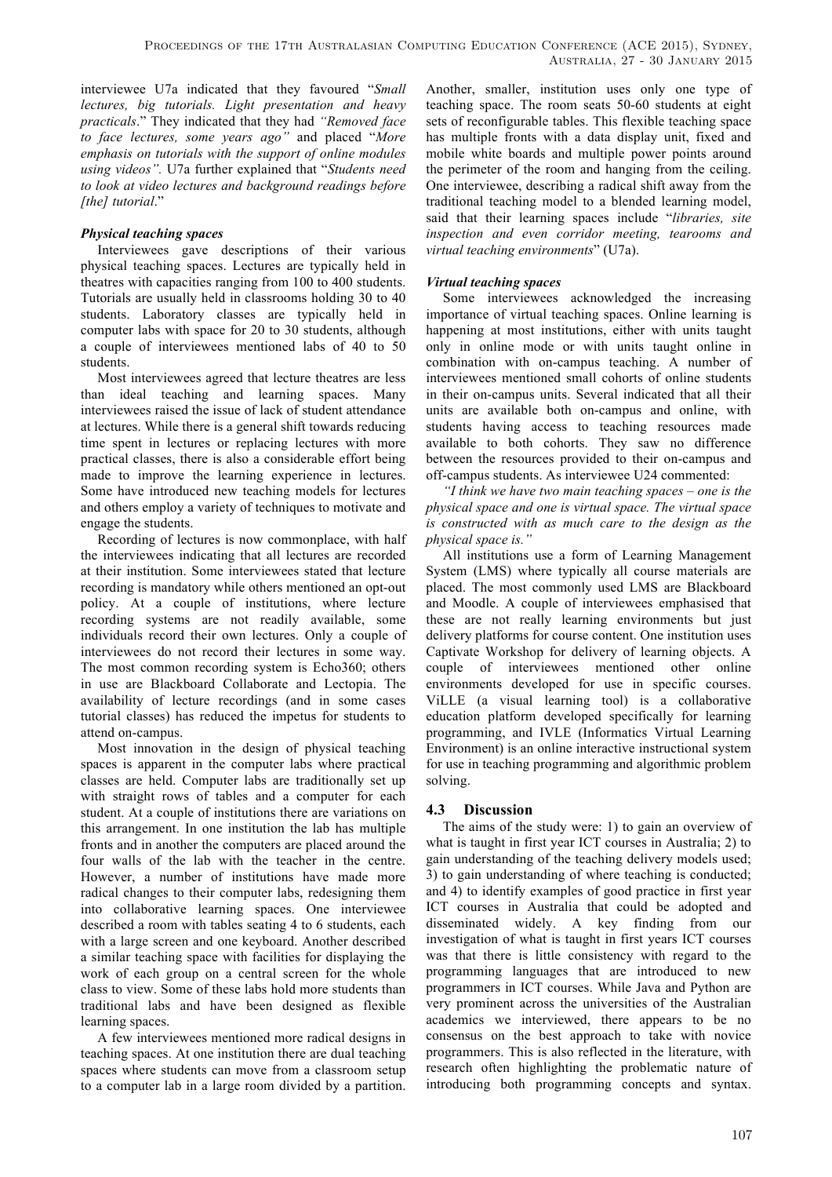interviewee U7a indicated that they favoured "*Small lectures, big tutorials. Light presentation and heavy practicals*." They indicated that they had *"Removed face to face lectures, some years ago"* and placed "*More emphasis on tutorials with the support of online modules using videos".* U7a further explained that "*Students need to look at video lectures and background readings before [the] tutorial*."

# *Physical teaching spaces*

Interviewees gave descriptions of their various physical teaching spaces. Lectures are typically held in theatres with capacities ranging from 100 to 400 students. Tutorials are usually held in classrooms holding 30 to 40 students. Laboratory classes are typically held in computer labs with space for 20 to 30 students, although a couple of interviewees mentioned labs of 40 to 50 students.

Most interviewees agreed that lecture theatres are less than ideal teaching and learning spaces. Many interviewees raised the issue of lack of student attendance at lectures. While there is a general shift towards reducing time spent in lectures or replacing lectures with more practical classes, there is also a considerable effort being made to improve the learning experience in lectures. Some have introduced new teaching models for lectures and others employ a variety of techniques to motivate and engage the students.

Recording of lectures is now commonplace, with half the interviewees indicating that all lectures are recorded at their institution. Some interviewees stated that lecture recording is mandatory while others mentioned an opt-out policy. At a couple of institutions, where lecture recording systems are not readily available, some individuals record their own lectures. Only a couple of interviewees do not record their lectures in some way. The most common recording system is Echo360; others in use are Blackboard Collaborate and Lectopia. The availability of lecture recordings (and in some cases tutorial classes) has reduced the impetus for students to attend on-campus.

Most innovation in the design of physical teaching spaces is apparent in the computer labs where practical classes are held. Computer labs are traditionally set up with straight rows of tables and a computer for each student. At a couple of institutions there are variations on this arrangement. In one institution the lab has multiple fronts and in another the computers are placed around the four walls of the lab with the teacher in the centre. However, a number of institutions have made more radical changes to their computer labs, redesigning them into collaborative learning spaces. One interviewee described a room with tables seating 4 to 6 students, each with a large screen and one keyboard. Another described a similar teaching space with facilities for displaying the work of each group on a central screen for the whole class to view. Some of these labs hold more students than traditional labs and have been designed as flexible learning spaces.

A few interviewees mentioned more radical designs in teaching spaces. At one institution there are dual teaching spaces where students can move from a classroom setup to a computer lab in a large room divided by a partition. Another, smaller, institution uses only one type of teaching space. The room seats 50-60 students at eight sets of reconfigurable tables. This flexible teaching space has multiple fronts with a data display unit, fixed and mobile white boards and multiple power points around the perimeter of the room and hanging from the ceiling. One interviewee, describing a radical shift away from the traditional teaching model to a blended learning model, said that their learning spaces include "*libraries, site inspection and even corridor meeting, tearooms and virtual teaching environments*" (U7a).

## *Virtual teaching spaces*

Some interviewees acknowledged the increasing importance of virtual teaching spaces. Online learning is happening at most institutions, either with units taught only in online mode or with units taught online in combination with on-campus teaching. A number of interviewees mentioned small cohorts of online students in their on-campus units. Several indicated that all their units are available both on-campus and online, with students having access to teaching resources made available to both cohorts. They saw no difference between the resources provided to their on-campus and off-campus students. As interviewee U24 commented:

*"I think we have two main teaching spaces – one is the physical space and one is virtual space. The virtual space is constructed with as much care to the design as the physical space is."* 

All institutions use a form of Learning Management System (LMS) where typically all course materials are placed. The most commonly used LMS are Blackboard and Moodle. A couple of interviewees emphasised that these are not really learning environments but just delivery platforms for course content. One institution uses Captivate Workshop for delivery of learning objects. A couple of interviewees mentioned other online environments developed for use in specific courses. ViLLE (a visual learning tool) is a collaborative education platform developed specifically for learning programming, and IVLE (Informatics Virtual Learning Environment) is an online interactive instructional system for use in teaching programming and algorithmic problem solving.

# **4.3 Discussion**

The aims of the study were: 1) to gain an overview of what is taught in first year ICT courses in Australia; 2) to gain understanding of the teaching delivery models used; 3) to gain understanding of where teaching is conducted; and 4) to identify examples of good practice in first year ICT courses in Australia that could be adopted and disseminated widely. A key finding from our investigation of what is taught in first years ICT courses was that there is little consistency with regard to the programming languages that are introduced to new programmers in ICT courses. While Java and Python are very prominent across the universities of the Australian academics we interviewed, there appears to be no consensus on the best approach to take with novice programmers. This is also reflected in the literature, with research often highlighting the problematic nature of introducing both programming concepts and syntax.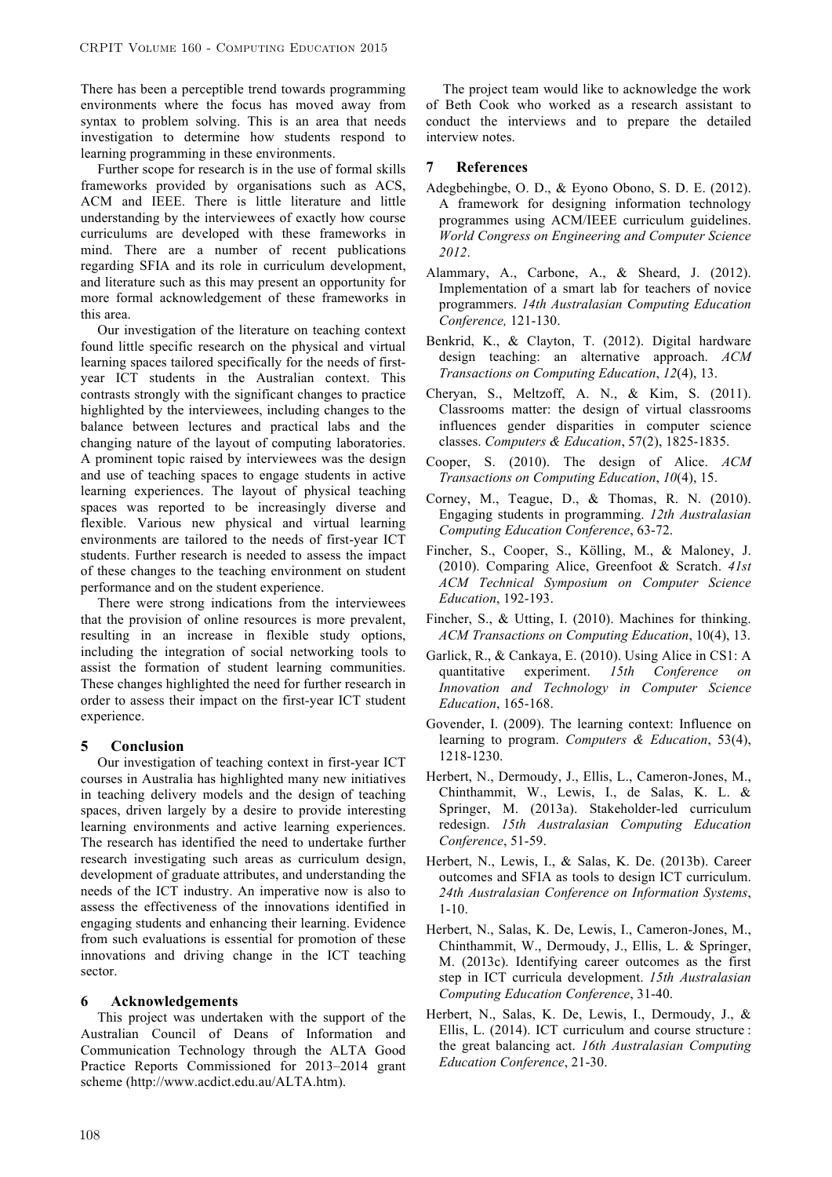There has been a perceptible trend towards programming environments where the focus has moved away from syntax to problem solving. This is an area that needs investigation to determine how students respond to learning programming in these environments.

Further scope for research is in the use of formal skills frameworks provided by organisations such as ACS, ACM and IEEE. There is little literature and little understanding by the interviewees of exactly how course curriculums are developed with these frameworks in mind. There are a number of recent publications regarding SFIA and its role in curriculum development, and literature such as this may present an opportunity for more formal acknowledgement of these frameworks in this area.

Our investigation of the literature on teaching context found little specific research on the physical and virtual learning spaces tailored specifically for the needs of firstyear ICT students in the Australian context. This contrasts strongly with the significant changes to practice highlighted by the interviewees, including changes to the balance between lectures and practical labs and the changing nature of the layout of computing laboratories. A prominent topic raised by interviewees was the design and use of teaching spaces to engage students in active learning experiences. The layout of physical teaching spaces was reported to be increasingly diverse and flexible. Various new physical and virtual learning environments are tailored to the needs of first-year ICT students. Further research is needed to assess the impact of these changes to the teaching environment on student performance and on the student experience.

There were strong indications from the interviewees that the provision of online resources is more prevalent, resulting in an increase in flexible study options, including the integration of social networking tools to assist the formation of student learning communities. These changes highlighted the need for further research in order to assess their impact on the first-year ICT student experience.

#### **5 Conclusion**

Our investigation of teaching context in first-year ICT courses in Australia has highlighted many new initiatives in teaching delivery models and the design of teaching spaces, driven largely by a desire to provide interesting learning environments and active learning experiences. The research has identified the need to undertake further research investigating such areas as curriculum design, development of graduate attributes, and understanding the needs of the ICT industry. An imperative now is also to assess the effectiveness of the innovations identified in engaging students and enhancing their learning. Evidence from such evaluations is essential for promotion of these innovations and driving change in the ICT teaching sector.

#### **6 Acknowledgements**

This project was undertaken with the support of the Australian Council of Deans of Information and Communication Technology through the ALTA Good Practice Reports Commissioned for 2013–2014 grant scheme (http://www.acdict.edu.au/ALTA.htm).

The project team would like to acknowledge the work of Beth Cook who worked as a research assistant to conduct the interviews and to prepare the detailed interview notes.

#### **7 References**

- Adegbehingbe, O. D., & Eyono Obono, S. D. E. (2012). A framework for designing information technology programmes using ACM/IEEE curriculum guidelines. *World Congress on Engineering and Computer Science 2012*.
- Alammary, A., Carbone, A., & Sheard, J. (2012). Implementation of a smart lab for teachers of novice programmers. *14th Australasian Computing Education Conference,* 121-130.
- Benkrid, K., & Clayton, T. (2012). Digital hardware design teaching: an alternative approach. *ACM Transactions on Computing Education*, *12*(4), 13.
- Cheryan, S., Meltzoff, A. N., & Kim, S. (2011). Classrooms matter: the design of virtual classrooms influences gender disparities in computer science classes. *Computers & Education*, 57(2), 1825-1835.
- Cooper, S. (2010). The design of Alice. *ACM Transactions on Computing Education*, *10*(4), 15.
- Corney, M., Teague, D., & Thomas, R. N. (2010). Engaging students in programming. *12th Australasian Computing Education Conference*, 63-72.
- Fincher, S., Cooper, S., Kölling, M., & Maloney, J. (2010). Comparing Alice, Greenfoot & Scratch. *41st ACM Technical Symposium on Computer Science Education*, 192-193.
- Fincher, S., & Utting, I. (2010). Machines for thinking. *ACM Transactions on Computing Education*, 10(4), 13.
- Garlick, R., & Cankaya, E. (2010). Using Alice in CS1: A quantitative experiment. *15th Conference on Innovation and Technology in Computer Science Education*, 165-168.
- Govender, I. (2009). The learning context: Influence on learning to program. *Computers & Education*, 53(4), 1218-1230.
- Herbert, N., Dermoudy, J., Ellis, L., Cameron-Jones, M., Chinthammit, W., Lewis, I., de Salas, K. L. & Springer, M. (2013a). Stakeholder-led curriculum redesign. *15th Australasian Computing Education Conference*, 51-59.
- Herbert, N., Lewis, I., & Salas, K. De. (2013b). Career outcomes and SFIA as tools to design ICT curriculum. *24th Australasian Conference on Information Systems*, 1-10.
- Herbert, N., Salas, K. De, Lewis, I., Cameron-Jones, M., Chinthammit, W., Dermoudy, J., Ellis, L. & Springer, M. (2013c). Identifying career outcomes as the first step in ICT curricula development. *15th Australasian Computing Education Conference*, 31-40.
- Herbert, N., Salas, K. De, Lewis, I., Dermoudy, J., & Ellis, L. (2014). ICT curriculum and course structure : the great balancing act. *16th Australasian Computing Education Conference*, 21-30.